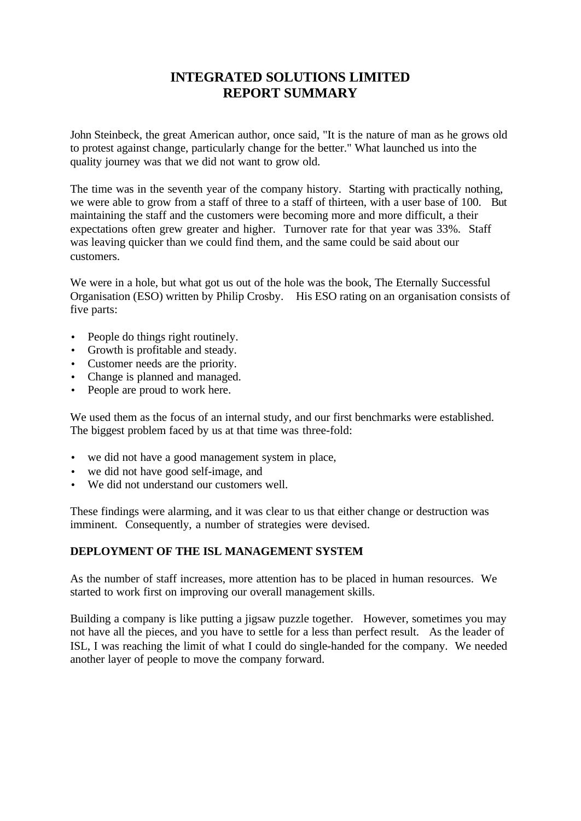# **INTEGRATED SOLUTIONS LIMITED REPORT SUMMARY**

John Steinbeck, the great American author, once said, "It is the nature of man as he grows old to protest against change, particularly change for the better." What launched us into the quality journey was that we did not want to grow old.

The time was in the seventh year of the company history. Starting with practically nothing, we were able to grow from a staff of three to a staff of thirteen, with a user base of 100. But maintaining the staff and the customers were becoming more and more difficult, a their expectations often grew greater and higher. Turnover rate for that year was 33%. Staff was leaving quicker than we could find them, and the same could be said about our customers.

We were in a hole, but what got us out of the hole was the book, The Eternally Successful Organisation (ESO) written by Philip Crosby. His ESO rating on an organisation consists of five parts:

- People do things right routinely.
- Growth is profitable and steady.
- Customer needs are the priority.
- Change is planned and managed.
- People are proud to work here.

We used them as the focus of an internal study, and our first benchmarks were established. The biggest problem faced by us at that time was three-fold:

- we did not have a good management system in place,
- we did not have good self-image, and
- We did not understand our customers well.

These findings were alarming, and it was clear to us that either change or destruction was imminent. Consequently, a number of strategies were devised.

## **DEPLOYMENT OF THE ISL MANAGEMENT SYSTEM**

As the number of staff increases, more attention has to be placed in human resources. We started to work first on improving our overall management skills.

Building a company is like putting a jigsaw puzzle together. However, sometimes you may not have all the pieces, and you have to settle for a less than perfect result. As the leader of ISL, I was reaching the limit of what I could do single-handed for the company. We needed another layer of people to move the company forward.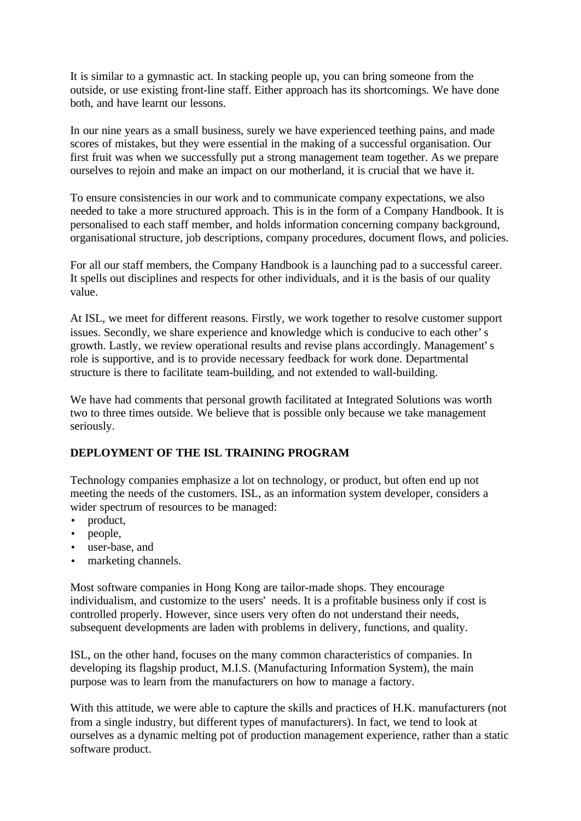It is similar to a gymnastic act. In stacking people up, you can bring someone from the outside, or use existing front-line staff. Either approach has its shortcomings. We have done both, and have learnt our lessons.

In our nine years as a small business, surely we have experienced teething pains, and made scores of mistakes, but they were essential in the making of a successful organisation. Our first fruit was when we successfully put a strong management team together. As we prepare ourselves to rejoin and make an impact on our motherland, it is crucial that we have it.

To ensure consistencies in our work and to communicate company expectations, we also needed to take a more structured approach. This is in the form of a Company Handbook. It is personalised to each staff member, and holds information concerning company background, organisational structure, job descriptions, company procedures, document flows, and policies.

For all our staff members, the Company Handbook is a launching pad to a successful career. It spells out disciplines and respects for other individuals, and it is the basis of our quality value.

At ISL, we meet for different reasons. Firstly, we work together to resolve customer support issues. Secondly, we share experience and knowledge which is conducive to each other's growth. Lastly, we review operational results and revise plans accordingly. Management's role is supportive, and is to provide necessary feedback for work done. Departmental structure is there to facilitate team-building, and not extended to wall-building.

We have had comments that personal growth facilitated at Integrated Solutions was worth two to three times outside. We believe that is possible only because we take management seriously.

## **DEPLOYMENT OF THE ISL TRAINING PROGRAM**

Technology companies emphasize a lot on technology, or product, but often end up not meeting the needs of the customers. ISL, as an information system developer, considers a wider spectrum of resources to be managed:

- product,
- people,
- user-base, and
- marketing channels.

Most software companies in Hong Kong are tailor-made shops. They encourage individualism, and customize to the users' needs. It is a profitable business only if cost is controlled properly. However, since users very often do not understand their needs, subsequent developments are laden with problems in delivery, functions, and quality.

ISL, on the other hand, focuses on the many common characteristics of companies. In developing its flagship product, M.I.S. (Manufacturing Information System), the main purpose was to learn from the manufacturers on how to manage a factory.

With this attitude, we were able to capture the skills and practices of H.K. manufacturers (not from a single industry, but different types of manufacturers). In fact, we tend to look at ourselves as a dynamic melting pot of production management experience, rather than a static software product.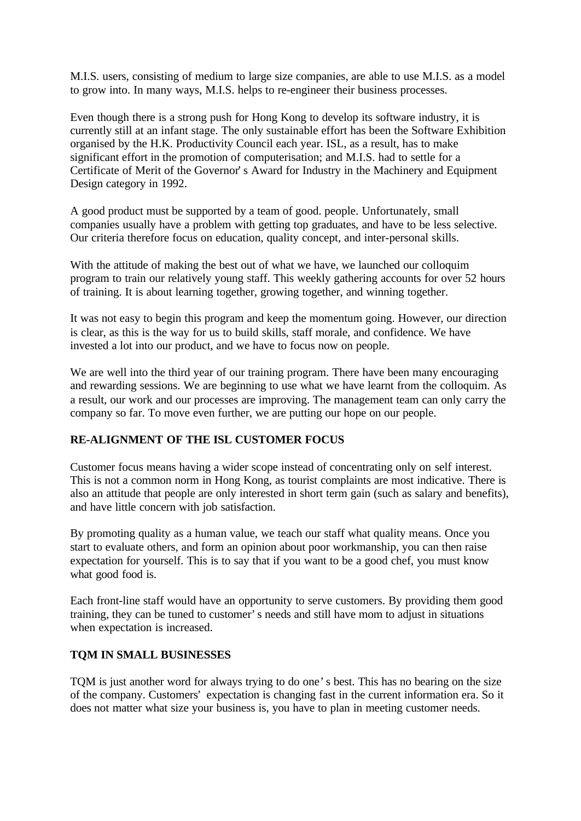M.I.S. users, consisting of medium to large size companies, are able to use M.I.S. as a model to grow into. In many ways, M.I.S. helps to re-engineer their business processes.

Even though there is a strong push for Hong Kong to develop its software industry, it is currently still at an infant stage. The only sustainable effort has been the Software Exhibition organised by the H.K. Productivity Council each year. ISL, as a result, has to make significant effort in the promotion of computerisation; and M.I.S. had to settle for a Certificate of Merit of the Governor's Award for Industry in the Machinery and Equipment Design category in 1992.

A good product must be supported by a team of good. people. Unfortunately, small companies usually have a problem with getting top graduates, and have to be less selective. Our criteria therefore focus on education, quality concept, and inter-personal skills.

With the attitude of making the best out of what we have, we launched our colloquim program to train our relatively young staff. This weekly gathering accounts for over 52 hours of training. It is about learning together, growing together, and winning together.

It was not easy to begin this program and keep the momentum going. However, our direction is clear, as this is the way for us to build skills, staff morale, and confidence. We have invested a lot into our product, and we have to focus now on people.

We are well into the third year of our training program. There have been many encouraging and rewarding sessions. We are beginning to use what we have learnt from the colloquim. As a result, our work and our processes are improving. The management team can only carry the company so far. To move even further, we are putting our hope on our people.

## **RE-ALIGNMENT OF THE ISL CUSTOMER FOCUS**

Customer focus means having a wider scope instead of concentrating only on self interest. This is not a common norm in Hong Kong, as tourist complaints are most indicative. There is also an attitude that people are only interested in short term gain (such as salary and benefits), and have little concern with job satisfaction.

By promoting quality as a human value, we teach our staff what quality means. Once you start to evaluate others, and form an opinion about poor workmanship, you can then raise expectation for yourself. This is to say that if you want to be a good chef, you must know what good food is.

Each front-line staff would have an opportunity to serve customers. By providing them good training, they can be tuned to customer's needs and still have mom to adjust in situations when expectation is increased.

#### **TQM IN SMALL BUSINESSES**

TQM is just another word for always trying to do one's best. This has no bearing on the size of the company. Customers' expectation is changing fast in the current information era. So it does not matter what size your business is, you have to plan in meeting customer needs.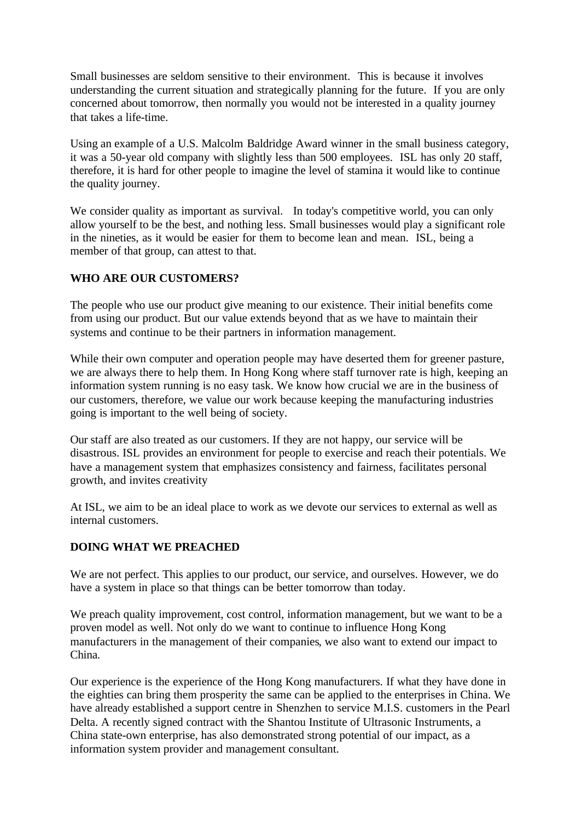Small businesses are seldom sensitive to their environment. This is because it involves understanding the current situation and strategically planning for the future. If you are only concerned about tomorrow, then normally you would not be interested in a quality journey that takes a life-time.

Using an example of a U.S. Malcolm Baldridge Award winner in the small business category, it was a 50-year old company with slightly less than 500 employees. ISL has only 20 staff, therefore, it is hard for other people to imagine the level of stamina it would like to continue the quality journey.

We consider quality as important as survival. In today's competitive world, you can only allow yourself to be the best, and nothing less. Small businesses would play a significant role in the nineties, as it would be easier for them to become lean and mean. ISL, being a member of that group, can attest to that.

#### **WHO ARE OUR CUSTOMERS?**

The people who use our product give meaning to our existence. Their initial benefits come from using our product. But our value extends beyond that as we have to maintain their systems and continue to be their partners in information management.

While their own computer and operation people may have deserted them for greener pasture, we are always there to help them. In Hong Kong where staff turnover rate is high, keeping an information system running is no easy task. We know how crucial we are in the business of our customers, therefore, we value our work because keeping the manufacturing industries going is important to the well being of society.

Our staff are also treated as our customers. If they are not happy, our service will be disastrous. ISL provides an environment for people to exercise and reach their potentials. We have a management system that emphasizes consistency and fairness, facilitates personal growth, and invites creativity

At ISL, we aim to be an ideal place to work as we devote our services to external as well as internal customers.

## **DOING WHAT WE PREACHED**

We are not perfect. This applies to our product, our service, and ourselves. However, we do have a system in place so that things can be better tomorrow than today.

We preach quality improvement, cost control, information management, but we want to be a proven model as well. Not only do we want to continue to influence Hong Kong manufacturers in the management of their companies, we also want to extend our impact to China.

Our experience is the experience of the Hong Kong manufacturers. If what they have done in the eighties can bring them prosperity the same can be applied to the enterprises in China. We have already established a support centre in Shenzhen to service M.I.S. customers in the Pearl Delta. A recently signed contract with the Shantou Institute of Ultrasonic Instruments, a China state-own enterprise, has also demonstrated strong potential of our impact, as a information system provider and management consultant.